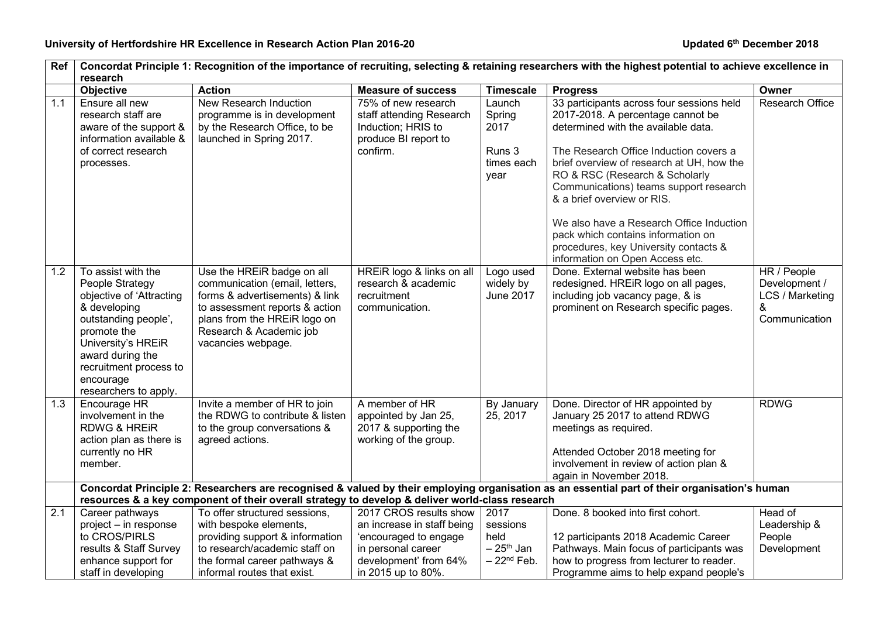| Ref | Concordat Principle 1: Recognition of the importance of recruiting, selecting & retaining researchers with the highest potential to achieve excellence in<br>research                                                              |                                                                                                                                                                                                                   |                                                                                                           |                                                             |                                                                                                                                                                                                                                                                                                                                                                                                                                                                                      |                                                                       |  |
|-----|------------------------------------------------------------------------------------------------------------------------------------------------------------------------------------------------------------------------------------|-------------------------------------------------------------------------------------------------------------------------------------------------------------------------------------------------------------------|-----------------------------------------------------------------------------------------------------------|-------------------------------------------------------------|--------------------------------------------------------------------------------------------------------------------------------------------------------------------------------------------------------------------------------------------------------------------------------------------------------------------------------------------------------------------------------------------------------------------------------------------------------------------------------------|-----------------------------------------------------------------------|--|
|     | Objective                                                                                                                                                                                                                          | <b>Action</b>                                                                                                                                                                                                     | <b>Measure of success</b>                                                                                 | <b>Timescale</b>                                            | <b>Progress</b>                                                                                                                                                                                                                                                                                                                                                                                                                                                                      | Owner                                                                 |  |
| 1.1 | Ensure all new<br>research staff are<br>aware of the support &<br>information available &<br>of correct research<br>processes.                                                                                                     | New Research Induction<br>programme is in development<br>by the Research Office, to be<br>launched in Spring 2017.                                                                                                | 75% of new research<br>staff attending Research<br>Induction; HRIS to<br>produce BI report to<br>confirm. | Launch<br>Spring<br>2017<br>Runs 3<br>times each<br>year    | 33 participants across four sessions held<br>2017-2018. A percentage cannot be<br>determined with the available data.<br>The Research Office Induction covers a<br>brief overview of research at UH, how the<br>RO & RSC (Research & Scholarly<br>Communications) teams support research<br>& a brief overview or RIS.<br>We also have a Research Office Induction<br>pack which contains information on<br>procedures, key University contacts &<br>information on Open Access etc. | <b>Research Office</b>                                                |  |
| 1.2 | To assist with the<br>People Strategy<br>objective of 'Attracting<br>& developing<br>outstanding people',<br>promote the<br>University's HREiR<br>award during the<br>recruitment process to<br>encourage<br>researchers to apply. | Use the HREiR badge on all<br>communication (email, letters,<br>forms & advertisements) & link<br>to assessment reports & action<br>plans from the HREIR logo on<br>Research & Academic job<br>vacancies webpage. | HREIR logo & links on all<br>research & academic<br>recruitment<br>communication.                         | Logo used<br>widely by<br>June 2017                         | Done. External website has been<br>redesigned. HREiR logo on all pages,<br>including job vacancy page, & is<br>prominent on Research specific pages.                                                                                                                                                                                                                                                                                                                                 | HR / People<br>Development /<br>LCS / Marketing<br>&<br>Communication |  |
| 1.3 | Encourage HR<br>involvement in the<br><b>RDWG &amp; HREIR</b><br>action plan as there is<br>currently no HR<br>member.                                                                                                             | Invite a member of HR to join<br>the RDWG to contribute & listen<br>to the group conversations &<br>agreed actions.                                                                                               | A member of HR<br>appointed by Jan 25,<br>2017 & supporting the<br>working of the group.                  | By January<br>25, 2017                                      | Done. Director of HR appointed by<br>January 25 2017 to attend RDWG<br>meetings as required.<br>Attended October 2018 meeting for<br>involvement in review of action plan &<br>again in November 2018.                                                                                                                                                                                                                                                                               | <b>RDWG</b>                                                           |  |
|     |                                                                                                                                                                                                                                    |                                                                                                                                                                                                                   |                                                                                                           |                                                             | Concordat Principle 2: Researchers are recognised & valued by their employing organisation as an essential part of their organisation's human                                                                                                                                                                                                                                                                                                                                        |                                                                       |  |
| 2.1 | Career pathways                                                                                                                                                                                                                    | resources & a key component of their overall strategy to develop & deliver world-class research<br>To offer structured sessions,                                                                                  | 2017 CROS results show                                                                                    | 2017                                                        | Done. 8 booked into first cohort.                                                                                                                                                                                                                                                                                                                                                                                                                                                    | Head of                                                               |  |
|     | project - in response<br>to CROS/PIRLS<br>results & Staff Survey<br>enhance support for                                                                                                                                            | with bespoke elements,<br>providing support & information<br>to research/academic staff on<br>the formal career pathways &                                                                                        | an increase in staff being<br>'encouraged to engage<br>in personal career<br>development' from 64%        | sessions<br>held<br>$-25$ <sup>th</sup> Jan<br>$-22nd$ Feb. | 12 participants 2018 Academic Career<br>Pathways. Main focus of participants was<br>how to progress from lecturer to reader.                                                                                                                                                                                                                                                                                                                                                         | Leadership &<br>People<br>Development                                 |  |
|     | staff in developing                                                                                                                                                                                                                | informal routes that exist.                                                                                                                                                                                       | in 2015 up to 80%.                                                                                        |                                                             | Programme aims to help expand people's                                                                                                                                                                                                                                                                                                                                                                                                                                               |                                                                       |  |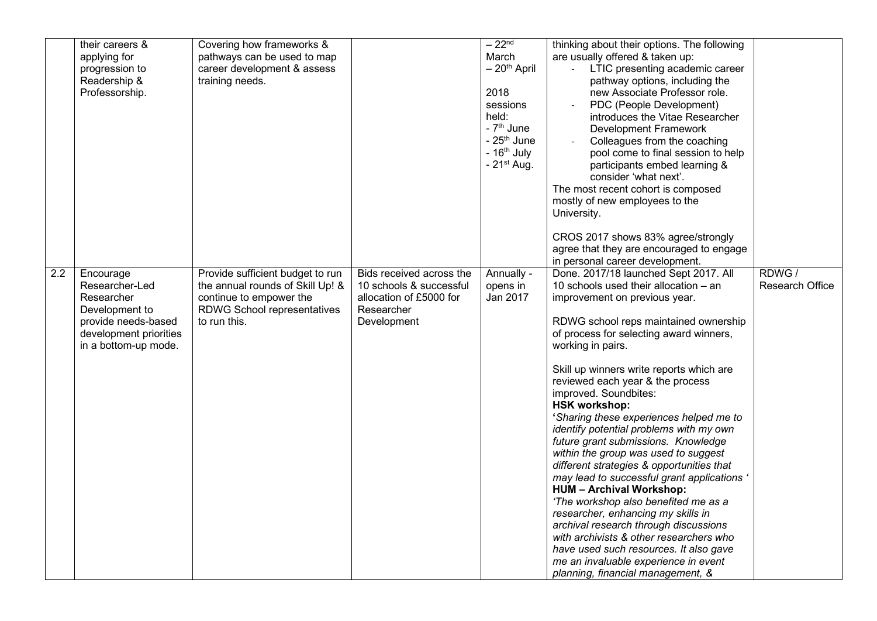|                  | their careers &        | Covering how frameworks &          |                          | $-22nd$                | thinking about their options. The following |                        |
|------------------|------------------------|------------------------------------|--------------------------|------------------------|---------------------------------------------|------------------------|
|                  | applying for           | pathways can be used to map        |                          | March                  | are usually offered & taken up:             |                        |
|                  | progression to         | career development & assess        |                          | $-20th$ April          | LTIC presenting academic career             |                        |
|                  | Readership &           | training needs.                    |                          |                        | pathway options, including the              |                        |
|                  | Professorship.         |                                    |                          | 2018                   | new Associate Professor role.               |                        |
|                  |                        |                                    |                          | sessions               | PDC (People Development)                    |                        |
|                  |                        |                                    |                          | held:                  | introduces the Vitae Researcher             |                        |
|                  |                        |                                    |                          | - 7 <sup>th</sup> June | <b>Development Framework</b>                |                        |
|                  |                        |                                    |                          | - $25th$ June          | Colleagues from the coaching                |                        |
|                  |                        |                                    |                          | - $16th$ July          | pool come to final session to help          |                        |
|                  |                        |                                    |                          | $-21st$ Aug.           | participants embed learning &               |                        |
|                  |                        |                                    |                          |                        | consider 'what next'.                       |                        |
|                  |                        |                                    |                          |                        | The most recent cohort is composed          |                        |
|                  |                        |                                    |                          |                        | mostly of new employees to the              |                        |
|                  |                        |                                    |                          |                        | University.                                 |                        |
|                  |                        |                                    |                          |                        |                                             |                        |
|                  |                        |                                    |                          |                        | CROS 2017 shows 83% agree/strongly          |                        |
|                  |                        |                                    |                          |                        | agree that they are encouraged to engage    |                        |
|                  |                        |                                    |                          |                        | in personal career development.             |                        |
| $\overline{2.2}$ | Encourage              | Provide sufficient budget to run   | Bids received across the | Annually -             | Done. 2017/18 launched Sept 2017. All       | RDWG/                  |
|                  | Researcher-Led         | the annual rounds of Skill Up! &   | 10 schools & successful  | opens in               | 10 schools used their allocation - an       | <b>Research Office</b> |
|                  | Researcher             | continue to empower the            | allocation of £5000 for  | Jan 2017               | improvement on previous year.               |                        |
|                  | Development to         | <b>RDWG School representatives</b> | Researcher               |                        |                                             |                        |
|                  | provide needs-based    | to run this.                       | Development              |                        | RDWG school reps maintained ownership       |                        |
|                  | development priorities |                                    |                          |                        | of process for selecting award winners,     |                        |
|                  | in a bottom-up mode.   |                                    |                          |                        | working in pairs.                           |                        |
|                  |                        |                                    |                          |                        |                                             |                        |
|                  |                        |                                    |                          |                        | Skill up winners write reports which are    |                        |
|                  |                        |                                    |                          |                        | reviewed each year & the process            |                        |
|                  |                        |                                    |                          |                        | improved. Soundbites:                       |                        |
|                  |                        |                                    |                          |                        | <b>HSK workshop:</b>                        |                        |
|                  |                        |                                    |                          |                        | 'Sharing these experiences helped me to     |                        |
|                  |                        |                                    |                          |                        | identify potential problems with my own     |                        |
|                  |                        |                                    |                          |                        | future grant submissions. Knowledge         |                        |
|                  |                        |                                    |                          |                        | within the group was used to suggest        |                        |
|                  |                        |                                    |                          |                        | different strategies & opportunities that   |                        |
|                  |                        |                                    |                          |                        | may lead to successful grant applications ' |                        |
|                  |                        |                                    |                          |                        | <b>HUM - Archival Workshop:</b>             |                        |
|                  |                        |                                    |                          |                        | 'The workshop also benefited me as a        |                        |
|                  |                        |                                    |                          |                        | researcher, enhancing my skills in          |                        |
|                  |                        |                                    |                          |                        | archival research through discussions       |                        |
|                  |                        |                                    |                          |                        | with archivists & other researchers who     |                        |
|                  |                        |                                    |                          |                        | have used such resources. It also gave      |                        |
|                  |                        |                                    |                          |                        | me an invaluable experience in event        |                        |
|                  |                        |                                    |                          |                        | planning, financial management, &           |                        |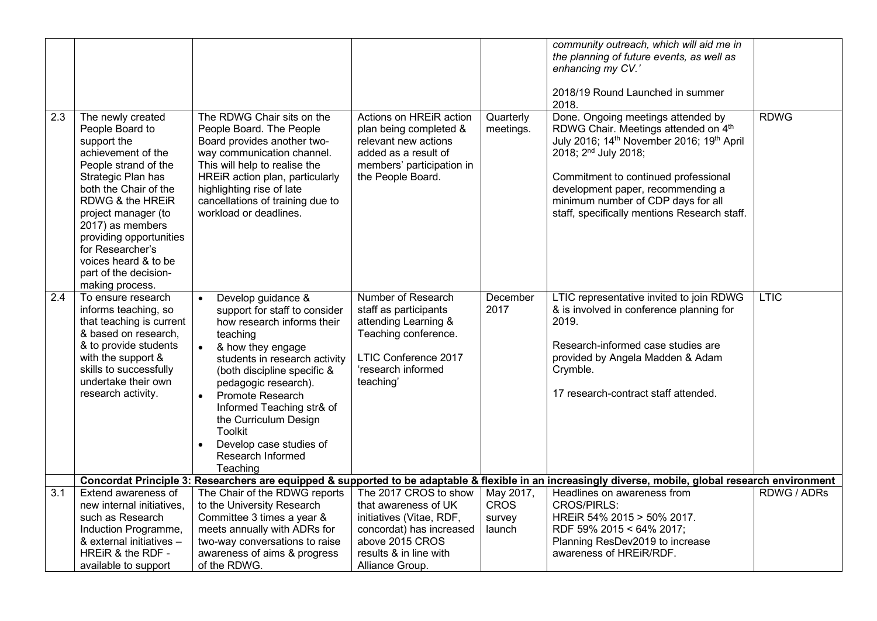|                  |                                                                                                                                                                                                                                                                                                                                    |                                                                                                                                                                                                                                                                                                                                                                                                                  |                                                                                                                                                                       |                                              | community outreach, which will aid me in<br>the planning of future events, as well as<br>enhancing my CV.'<br>2018/19 Round Launched in summer<br>2018.                                                                                                                                                                        |             |
|------------------|------------------------------------------------------------------------------------------------------------------------------------------------------------------------------------------------------------------------------------------------------------------------------------------------------------------------------------|------------------------------------------------------------------------------------------------------------------------------------------------------------------------------------------------------------------------------------------------------------------------------------------------------------------------------------------------------------------------------------------------------------------|-----------------------------------------------------------------------------------------------------------------------------------------------------------------------|----------------------------------------------|--------------------------------------------------------------------------------------------------------------------------------------------------------------------------------------------------------------------------------------------------------------------------------------------------------------------------------|-------------|
| 2.3              | The newly created<br>People Board to<br>support the<br>achievement of the<br>People strand of the<br>Strategic Plan has<br>both the Chair of the<br>RDWG & the HREIR<br>project manager (to<br>2017) as members<br>providing opportunities<br>for Researcher's<br>voices heard & to be<br>part of the decision-<br>making process. | The RDWG Chair sits on the<br>People Board. The People<br>Board provides another two-<br>way communication channel.<br>This will help to realise the<br>HREiR action plan, particularly<br>highlighting rise of late<br>cancellations of training due to<br>workload or deadlines.                                                                                                                               | Actions on HREIR action<br>plan being completed &<br>relevant new actions<br>added as a result of<br>members' participation in<br>the People Board.                   | Quarterly<br>meetings.                       | Done. Ongoing meetings attended by<br>RDWG Chair. Meetings attended on 4th<br>July 2016; 14th November 2016; 19th April<br>2018; 2 <sup>nd</sup> July 2018;<br>Commitment to continued professional<br>development paper, recommending a<br>minimum number of CDP days for all<br>staff, specifically mentions Research staff. | <b>RDWG</b> |
| $\overline{2.4}$ | To ensure research<br>informs teaching, so<br>that teaching is current<br>& based on research.<br>& to provide students<br>with the support &<br>skills to successfully<br>undertake their own<br>research activity.                                                                                                               | Develop guidance &<br>$\bullet$<br>support for staff to consider<br>how research informs their<br>teaching<br>$\bullet$<br>& how they engage<br>students in research activity<br>(both discipline specific &<br>pedagogic research).<br><b>Promote Research</b><br>$\bullet$<br>Informed Teaching str& of<br>the Curriculum Design<br><b>Toolkit</b><br>Develop case studies of<br>Research Informed<br>Teaching | Number of Research<br>staff as participants<br>attending Learning &<br>Teaching conference.<br>LTIC Conference 2017<br>'research informed<br>teaching'                | December<br>2017                             | LTIC representative invited to join RDWG<br>& is involved in conference planning for<br>2019.<br>Research-informed case studies are<br>provided by Angela Madden & Adam<br>Crymble.<br>17 research-contract staff attended.                                                                                                    | <b>LTIC</b> |
|                  |                                                                                                                                                                                                                                                                                                                                    |                                                                                                                                                                                                                                                                                                                                                                                                                  |                                                                                                                                                                       |                                              | Concordat Principle 3: Researchers are equipped & supported to be adaptable & flexible in an increasingly diverse, mobile, global research environment                                                                                                                                                                         |             |
| $\overline{3.1}$ | Extend awareness of<br>new internal initiatives.<br>such as Research<br>Induction Programme,<br>& external initiatives -<br>HREIR & the RDF -<br>available to support                                                                                                                                                              | The Chair of the RDWG reports<br>to the University Research<br>Committee 3 times a year &<br>meets annually with ADRs for<br>two-way conversations to raise<br>awareness of aims & progress<br>of the RDWG.                                                                                                                                                                                                      | The 2017 CROS to show<br>that awareness of UK<br>initiatives (Vitae, RDF,<br>concordat) has increased<br>above 2015 CROS<br>results & in line with<br>Alliance Group. | May 2017,<br><b>CROS</b><br>survey<br>launch | Headlines on awareness from<br><b>CROS/PIRLS:</b><br>HREIR 54% 2015 > 50% 2017.<br>RDF 59% 2015 < 64% 2017;<br>Planning ResDev2019 to increase<br>awareness of HREIR/RDF.                                                                                                                                                      | RDWG / ADRs |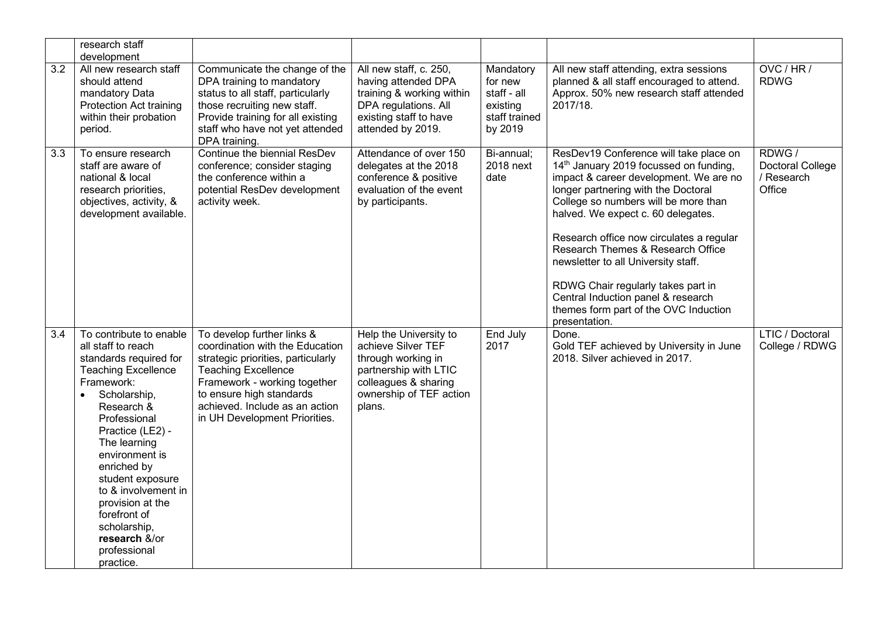|     | research staff<br>development                                                                                                                                                                                                                                                                                                                                                                    |                                                                                                                                                                                                                                                                  |                                                                                                                                                          |                                                                             |                                                                                                                                                                                                                                                                                                                                                                                                                                                                                                               |                                                          |
|-----|--------------------------------------------------------------------------------------------------------------------------------------------------------------------------------------------------------------------------------------------------------------------------------------------------------------------------------------------------------------------------------------------------|------------------------------------------------------------------------------------------------------------------------------------------------------------------------------------------------------------------------------------------------------------------|----------------------------------------------------------------------------------------------------------------------------------------------------------|-----------------------------------------------------------------------------|---------------------------------------------------------------------------------------------------------------------------------------------------------------------------------------------------------------------------------------------------------------------------------------------------------------------------------------------------------------------------------------------------------------------------------------------------------------------------------------------------------------|----------------------------------------------------------|
| 3.2 | All new research staff<br>should attend<br>mandatory Data<br><b>Protection Act training</b><br>within their probation<br>period.                                                                                                                                                                                                                                                                 | Communicate the change of the<br>DPA training to mandatory<br>status to all staff, particularly<br>those recruiting new staff.<br>Provide training for all existing<br>staff who have not yet attended<br>DPA training.                                          | All new staff, c. 250,<br>having attended DPA<br>training & working within<br>DPA regulations. All<br>existing staff to have<br>attended by 2019.        | Mandatory<br>for new<br>staff - all<br>existing<br>staff trained<br>by 2019 | All new staff attending, extra sessions<br>planned & all staff encouraged to attend.<br>Approx. 50% new research staff attended<br>2017/18.                                                                                                                                                                                                                                                                                                                                                                   | OVC / HR /<br><b>RDWG</b>                                |
| 3.3 | To ensure research<br>staff are aware of<br>national & local<br>research priorities,<br>objectives, activity, &<br>development available.                                                                                                                                                                                                                                                        | Continue the biennial ResDev<br>conference; consider staging<br>the conference within a<br>potential ResDev development<br>activity week.                                                                                                                        | Attendance of over 150<br>delegates at the 2018<br>conference & positive<br>evaluation of the event<br>by participants.                                  | Bi-annual;<br>2018 next<br>date                                             | ResDev19 Conference will take place on<br>14th January 2019 focussed on funding,<br>impact & career development. We are no<br>longer partnering with the Doctoral<br>College so numbers will be more than<br>halved. We expect c. 60 delegates.<br>Research office now circulates a regular<br>Research Themes & Research Office<br>newsletter to all University staff.<br>RDWG Chair regularly takes part in<br>Central Induction panel & research<br>themes form part of the OVC Induction<br>presentation. | RDWG/<br><b>Doctoral College</b><br>/ Research<br>Office |
| 3.4 | To contribute to enable<br>all staff to reach<br>standards required for<br><b>Teaching Excellence</b><br>Framework:<br>Scholarship,<br>$\bullet$<br>Research &<br>Professional<br>Practice (LE2) -<br>The learning<br>environment is<br>enriched by<br>student exposure<br>to & involvement in<br>provision at the<br>forefront of<br>scholarship,<br>research &/or<br>professional<br>practice. | To develop further links &<br>coordination with the Education<br>strategic priorities, particularly<br><b>Teaching Excellence</b><br>Framework - working together<br>to ensure high standards<br>achieved. Include as an action<br>in UH Development Priorities. | Help the University to<br>achieve Silver TEF<br>through working in<br>partnership with LTIC<br>colleagues & sharing<br>ownership of TEF action<br>plans. | End July<br>2017                                                            | Done.<br>Gold TEF achieved by University in June<br>2018. Silver achieved in 2017.                                                                                                                                                                                                                                                                                                                                                                                                                            | <b>LTIC / Doctoral</b><br>College / RDWG                 |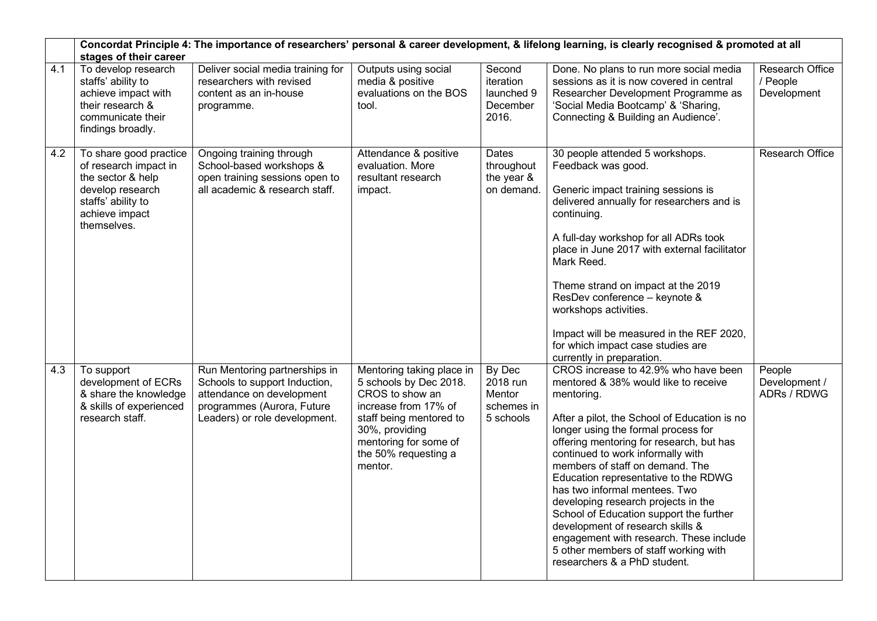|     | Concordat Principle 4: The importance of researchers' personal & career development, & lifelong learning, is clearly recognised & promoted at all<br>stages of their career |                                                                                                                                                            |                                                                                                                                                                                                         |                                                         |                                                                                                                                                                                                                                                                                                                                                                                                                                                                                                                                                                                                                          |                                                   |  |  |
|-----|-----------------------------------------------------------------------------------------------------------------------------------------------------------------------------|------------------------------------------------------------------------------------------------------------------------------------------------------------|---------------------------------------------------------------------------------------------------------------------------------------------------------------------------------------------------------|---------------------------------------------------------|--------------------------------------------------------------------------------------------------------------------------------------------------------------------------------------------------------------------------------------------------------------------------------------------------------------------------------------------------------------------------------------------------------------------------------------------------------------------------------------------------------------------------------------------------------------------------------------------------------------------------|---------------------------------------------------|--|--|
| 4.1 | To develop research<br>staffs' ability to<br>achieve impact with<br>their research &<br>communicate their<br>findings broadly.                                              | Deliver social media training for<br>researchers with revised<br>content as an in-house<br>programme.                                                      | Outputs using social<br>media & positive<br>evaluations on the BOS<br>tool.                                                                                                                             | Second<br>iteration<br>launched 9<br>December<br>2016.  | Done. No plans to run more social media<br>sessions as it is now covered in central<br>Researcher Development Programme as<br>'Social Media Bootcamp' & 'Sharing,<br>Connecting & Building an Audience'.                                                                                                                                                                                                                                                                                                                                                                                                                 | <b>Research Office</b><br>/ People<br>Development |  |  |
| 4.2 | To share good practice<br>of research impact in<br>the sector & help<br>develop research<br>staffs' ability to<br>achieve impact<br>themselves.                             | Ongoing training through<br>School-based workshops &<br>open training sessions open to<br>all academic & research staff.                                   | Attendance & positive<br>evaluation. More<br>resultant research<br>impact.                                                                                                                              | Dates<br>throughout<br>the year &<br>on demand.         | 30 people attended 5 workshops.<br>Feedback was good.<br>Generic impact training sessions is<br>delivered annually for researchers and is<br>continuing.<br>A full-day workshop for all ADRs took<br>place in June 2017 with external facilitator<br>Mark Reed.<br>Theme strand on impact at the 2019<br>ResDev conference - keynote &<br>workshops activities.<br>Impact will be measured in the REF 2020,<br>for which impact case studies are<br>currently in preparation.                                                                                                                                            | <b>Research Office</b>                            |  |  |
| 4.3 | To support<br>development of ECRs<br>& share the knowledge<br>& skills of experienced<br>research staff.                                                                    | Run Mentoring partnerships in<br>Schools to support Induction,<br>attendance on development<br>programmes (Aurora, Future<br>Leaders) or role development. | Mentoring taking place in<br>5 schools by Dec 2018.<br>CROS to show an<br>increase from 17% of<br>staff being mentored to<br>30%, providing<br>mentoring for some of<br>the 50% requesting a<br>mentor. | By Dec<br>2018 run<br>Mentor<br>schemes in<br>5 schools | CROS increase to 42.9% who have been<br>mentored & 38% would like to receive<br>mentoring.<br>After a pilot, the School of Education is no<br>longer using the formal process for<br>offering mentoring for research, but has<br>continued to work informally with<br>members of staff on demand. The<br>Education representative to the RDWG<br>has two informal mentees. Two<br>developing research projects in the<br>School of Education support the further<br>development of research skills &<br>engagement with research. These include<br>5 other members of staff working with<br>researchers & a PhD student. | People<br>Development /<br>ADRs / RDWG            |  |  |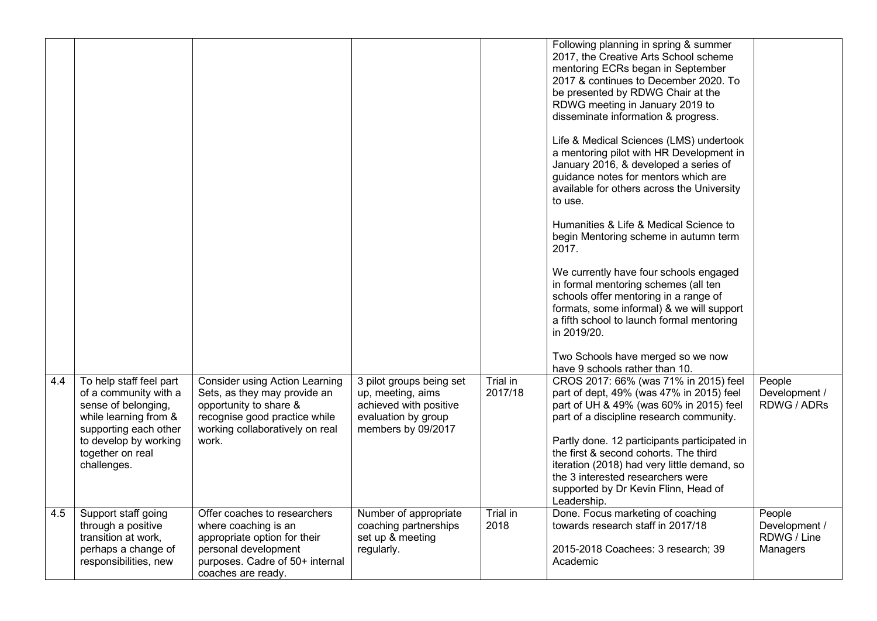| 4.4 | To help staff feel part<br>of a community with a<br>sense of belonging,<br>while learning from &<br>supporting each other<br>to develop by working<br>together on real | <b>Consider using Action Learning</b><br>Sets, as they may provide an<br>opportunity to share &<br>recognise good practice while<br>working collaboratively on real<br>work. | 3 pilot groups being set<br>up, meeting, aims<br>achieved with positive<br>evaluation by group<br>members by 09/2017 | Trial in<br>2017/18 | Following planning in spring & summer<br>2017, the Creative Arts School scheme<br>mentoring ECRs began in September<br>2017 & continues to December 2020. To<br>be presented by RDWG Chair at the<br>RDWG meeting in January 2019 to<br>disseminate information & progress.<br>Life & Medical Sciences (LMS) undertook<br>a mentoring pilot with HR Development in<br>January 2016, & developed a series of<br>guidance notes for mentors which are<br>available for others across the University<br>to use.<br>Humanities & Life & Medical Science to<br>begin Mentoring scheme in autumn term<br>2017.<br>We currently have four schools engaged<br>in formal mentoring schemes (all ten<br>schools offer mentoring in a range of<br>formats, some informal) & we will support<br>a fifth school to launch formal mentoring<br>in 2019/20.<br>Two Schools have merged so we now<br>have 9 schools rather than 10.<br>CROS 2017: 66% (was 71% in 2015) feel<br>part of dept, 49% (was 47% in 2015) feel<br>part of UH & 49% (was 60% in 2015) feel<br>part of a discipline research community.<br>Partly done. 12 participants participated in<br>the first & second cohorts. The third | People<br>Development /<br>RDWG / ADRs             |
|-----|------------------------------------------------------------------------------------------------------------------------------------------------------------------------|------------------------------------------------------------------------------------------------------------------------------------------------------------------------------|----------------------------------------------------------------------------------------------------------------------|---------------------|------------------------------------------------------------------------------------------------------------------------------------------------------------------------------------------------------------------------------------------------------------------------------------------------------------------------------------------------------------------------------------------------------------------------------------------------------------------------------------------------------------------------------------------------------------------------------------------------------------------------------------------------------------------------------------------------------------------------------------------------------------------------------------------------------------------------------------------------------------------------------------------------------------------------------------------------------------------------------------------------------------------------------------------------------------------------------------------------------------------------------------------------------------------------------------------|----------------------------------------------------|
|     | challenges.                                                                                                                                                            |                                                                                                                                                                              |                                                                                                                      |                     | iteration (2018) had very little demand, so<br>the 3 interested researchers were<br>supported by Dr Kevin Flinn, Head of<br>Leadership.                                                                                                                                                                                                                                                                                                                                                                                                                                                                                                                                                                                                                                                                                                                                                                                                                                                                                                                                                                                                                                                  |                                                    |
| 4.5 | Support staff going<br>through a positive<br>transition at work,<br>perhaps a change of<br>responsibilities, new                                                       | Offer coaches to researchers<br>where coaching is an<br>appropriate option for their<br>personal development<br>purposes. Cadre of 50+ internal<br>coaches are ready.        | Number of appropriate<br>coaching partnerships<br>set up & meeting<br>regularly.                                     | Trial in<br>2018    | Done. Focus marketing of coaching<br>towards research staff in 2017/18<br>2015-2018 Coachees: 3 research; 39<br>Academic                                                                                                                                                                                                                                                                                                                                                                                                                                                                                                                                                                                                                                                                                                                                                                                                                                                                                                                                                                                                                                                                 | People<br>Development /<br>RDWG / Line<br>Managers |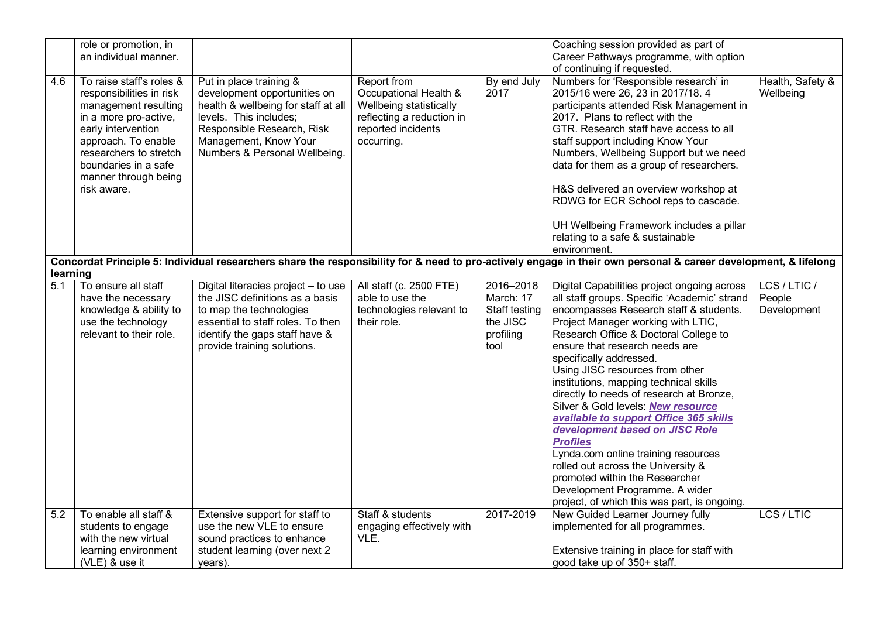|          | role or promotion, in                                                                                                                                                                                                                       |                                                                                                                                                                                                                  |                                                                                                                                  |                     | Coaching session provided as part of                                                                                                                                                                                                                                                                                                                                                                                                                                                            |                               |
|----------|---------------------------------------------------------------------------------------------------------------------------------------------------------------------------------------------------------------------------------------------|------------------------------------------------------------------------------------------------------------------------------------------------------------------------------------------------------------------|----------------------------------------------------------------------------------------------------------------------------------|---------------------|-------------------------------------------------------------------------------------------------------------------------------------------------------------------------------------------------------------------------------------------------------------------------------------------------------------------------------------------------------------------------------------------------------------------------------------------------------------------------------------------------|-------------------------------|
|          | an individual manner.                                                                                                                                                                                                                       |                                                                                                                                                                                                                  |                                                                                                                                  |                     | Career Pathways programme, with option                                                                                                                                                                                                                                                                                                                                                                                                                                                          |                               |
|          |                                                                                                                                                                                                                                             |                                                                                                                                                                                                                  |                                                                                                                                  |                     | of continuing if requested.                                                                                                                                                                                                                                                                                                                                                                                                                                                                     |                               |
| 4.6      | To raise staff's roles &<br>responsibilities in risk<br>management resulting<br>in a more pro-active,<br>early intervention<br>approach. To enable<br>researchers to stretch<br>boundaries in a safe<br>manner through being<br>risk aware. | Put in place training &<br>development opportunities on<br>health & wellbeing for staff at all<br>levels. This includes;<br>Responsible Research, Risk<br>Management, Know Your<br>Numbers & Personal Wellbeing. | Report from<br>Occupational Health &<br>Wellbeing statistically<br>reflecting a reduction in<br>reported incidents<br>occurring. | By end July<br>2017 | Numbers for 'Responsible research' in<br>2015/16 were 26, 23 in 2017/18. 4<br>participants attended Risk Management in<br>2017. Plans to reflect with the<br>GTR. Research staff have access to all<br>staff support including Know Your<br>Numbers, Wellbeing Support but we need<br>data for them as a group of researchers.<br>H&S delivered an overview workshop at<br>RDWG for ECR School reps to cascade.<br>UH Wellbeing Framework includes a pillar<br>relating to a safe & sustainable | Health, Safety &<br>Wellbeing |
|          |                                                                                                                                                                                                                                             |                                                                                                                                                                                                                  |                                                                                                                                  |                     | environment.                                                                                                                                                                                                                                                                                                                                                                                                                                                                                    |                               |
|          |                                                                                                                                                                                                                                             |                                                                                                                                                                                                                  |                                                                                                                                  |                     | Concordat Principle 5: Individual researchers share the responsibility for & need to pro-actively engage in their own personal & career development, & lifelong                                                                                                                                                                                                                                                                                                                                 |                               |
| learning |                                                                                                                                                                                                                                             |                                                                                                                                                                                                                  |                                                                                                                                  |                     |                                                                                                                                                                                                                                                                                                                                                                                                                                                                                                 |                               |
| 5.1      | To ensure all staff                                                                                                                                                                                                                         | Digital literacies project - to use                                                                                                                                                                              | All staff (c. 2500 FTE)                                                                                                          | 2016-2018           | Digital Capabilities project ongoing across                                                                                                                                                                                                                                                                                                                                                                                                                                                     | LCS / LTIC /                  |
|          | have the necessary                                                                                                                                                                                                                          | the JISC definitions as a basis                                                                                                                                                                                  | able to use the                                                                                                                  | March: 17           | all staff groups. Specific 'Academic' strand                                                                                                                                                                                                                                                                                                                                                                                                                                                    | People                        |
|          | knowledge & ability to                                                                                                                                                                                                                      | to map the technologies                                                                                                                                                                                          | technologies relevant to                                                                                                         | Staff testing       | encompasses Research staff & students.                                                                                                                                                                                                                                                                                                                                                                                                                                                          | Development                   |
|          | use the technology                                                                                                                                                                                                                          | essential to staff roles. To then                                                                                                                                                                                | their role.                                                                                                                      | the JISC            | Project Manager working with LTIC,                                                                                                                                                                                                                                                                                                                                                                                                                                                              |                               |
|          | relevant to their role.                                                                                                                                                                                                                     | identify the gaps staff have &                                                                                                                                                                                   |                                                                                                                                  | profiling           | Research Office & Doctoral College to                                                                                                                                                                                                                                                                                                                                                                                                                                                           |                               |
|          |                                                                                                                                                                                                                                             | provide training solutions.                                                                                                                                                                                      |                                                                                                                                  | tool                | ensure that research needs are                                                                                                                                                                                                                                                                                                                                                                                                                                                                  |                               |
|          |                                                                                                                                                                                                                                             |                                                                                                                                                                                                                  |                                                                                                                                  |                     | specifically addressed.                                                                                                                                                                                                                                                                                                                                                                                                                                                                         |                               |
|          |                                                                                                                                                                                                                                             |                                                                                                                                                                                                                  |                                                                                                                                  |                     | Using JISC resources from other                                                                                                                                                                                                                                                                                                                                                                                                                                                                 |                               |
|          |                                                                                                                                                                                                                                             |                                                                                                                                                                                                                  |                                                                                                                                  |                     | institutions, mapping technical skills                                                                                                                                                                                                                                                                                                                                                                                                                                                          |                               |
|          |                                                                                                                                                                                                                                             |                                                                                                                                                                                                                  |                                                                                                                                  |                     | directly to needs of research at Bronze,                                                                                                                                                                                                                                                                                                                                                                                                                                                        |                               |
|          |                                                                                                                                                                                                                                             |                                                                                                                                                                                                                  |                                                                                                                                  |                     | Silver & Gold levels: New resource                                                                                                                                                                                                                                                                                                                                                                                                                                                              |                               |
|          |                                                                                                                                                                                                                                             |                                                                                                                                                                                                                  |                                                                                                                                  |                     | available to support Office 365 skills                                                                                                                                                                                                                                                                                                                                                                                                                                                          |                               |
|          |                                                                                                                                                                                                                                             |                                                                                                                                                                                                                  |                                                                                                                                  |                     | development based on JISC Role                                                                                                                                                                                                                                                                                                                                                                                                                                                                  |                               |
|          |                                                                                                                                                                                                                                             |                                                                                                                                                                                                                  |                                                                                                                                  |                     | <b>Profiles</b>                                                                                                                                                                                                                                                                                                                                                                                                                                                                                 |                               |
|          |                                                                                                                                                                                                                                             |                                                                                                                                                                                                                  |                                                                                                                                  |                     | Lynda.com online training resources                                                                                                                                                                                                                                                                                                                                                                                                                                                             |                               |
|          |                                                                                                                                                                                                                                             |                                                                                                                                                                                                                  |                                                                                                                                  |                     | rolled out across the University &                                                                                                                                                                                                                                                                                                                                                                                                                                                              |                               |
|          |                                                                                                                                                                                                                                             |                                                                                                                                                                                                                  |                                                                                                                                  |                     | promoted within the Researcher                                                                                                                                                                                                                                                                                                                                                                                                                                                                  |                               |
|          |                                                                                                                                                                                                                                             |                                                                                                                                                                                                                  |                                                                                                                                  |                     | Development Programme. A wider                                                                                                                                                                                                                                                                                                                                                                                                                                                                  |                               |
|          |                                                                                                                                                                                                                                             |                                                                                                                                                                                                                  |                                                                                                                                  |                     | project, of which this was part, is ongoing.                                                                                                                                                                                                                                                                                                                                                                                                                                                    |                               |
| 5.2      | To enable all staff &                                                                                                                                                                                                                       | Extensive support for staff to                                                                                                                                                                                   | Staff & students                                                                                                                 | 2017-2019           | New Guided Learner Journey fully                                                                                                                                                                                                                                                                                                                                                                                                                                                                | LCS / LTIC                    |
|          | students to engage                                                                                                                                                                                                                          | use the new VLE to ensure                                                                                                                                                                                        | engaging effectively with                                                                                                        |                     | implemented for all programmes.                                                                                                                                                                                                                                                                                                                                                                                                                                                                 |                               |
|          | with the new virtual                                                                                                                                                                                                                        | sound practices to enhance                                                                                                                                                                                       | VLE.                                                                                                                             |                     |                                                                                                                                                                                                                                                                                                                                                                                                                                                                                                 |                               |
|          | learning environment                                                                                                                                                                                                                        | student learning (over next 2                                                                                                                                                                                    |                                                                                                                                  |                     | Extensive training in place for staff with                                                                                                                                                                                                                                                                                                                                                                                                                                                      |                               |
|          | (VLE) & use it                                                                                                                                                                                                                              | years).                                                                                                                                                                                                          |                                                                                                                                  |                     | good take up of 350+ staff.                                                                                                                                                                                                                                                                                                                                                                                                                                                                     |                               |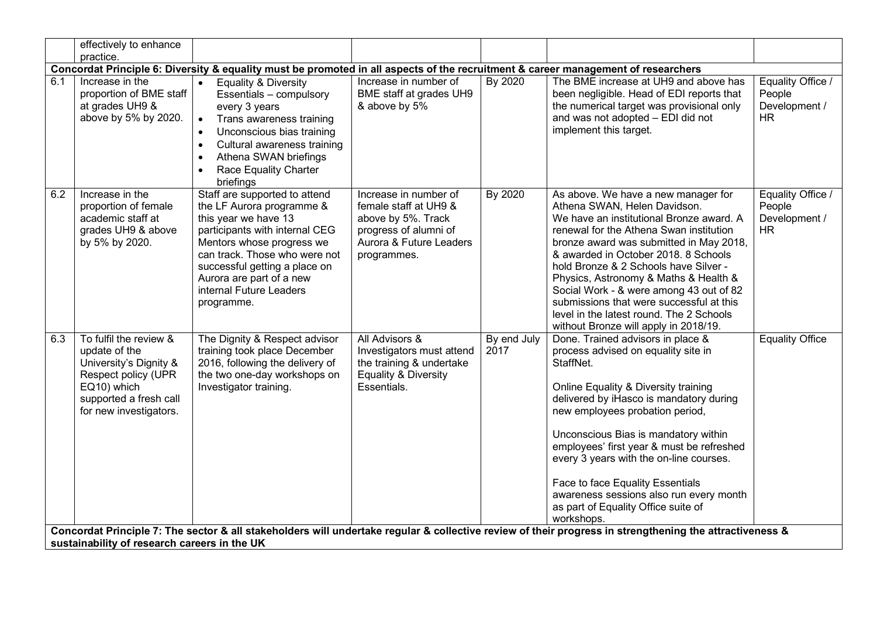|     | effectively to enhance                                                                                                                                      |                                                                                                                                                                                                                                                                                                                         |                                                                                                                                         |                     |                                                                                                                                                                                                                                                                                                                                                                                                                                                                                                                                                                                                                                            |                                                           |
|-----|-------------------------------------------------------------------------------------------------------------------------------------------------------------|-------------------------------------------------------------------------------------------------------------------------------------------------------------------------------------------------------------------------------------------------------------------------------------------------------------------------|-----------------------------------------------------------------------------------------------------------------------------------------|---------------------|--------------------------------------------------------------------------------------------------------------------------------------------------------------------------------------------------------------------------------------------------------------------------------------------------------------------------------------------------------------------------------------------------------------------------------------------------------------------------------------------------------------------------------------------------------------------------------------------------------------------------------------------|-----------------------------------------------------------|
|     | practice.                                                                                                                                                   |                                                                                                                                                                                                                                                                                                                         |                                                                                                                                         |                     |                                                                                                                                                                                                                                                                                                                                                                                                                                                                                                                                                                                                                                            |                                                           |
|     |                                                                                                                                                             | Concordat Principle 6: Diversity & equality must be promoted in all aspects of the recruitment & career management of researchers                                                                                                                                                                                       |                                                                                                                                         |                     |                                                                                                                                                                                                                                                                                                                                                                                                                                                                                                                                                                                                                                            |                                                           |
| 6.1 | Increase in the<br>proportion of BME staff<br>at grades UH9 &<br>above by 5% by 2020.                                                                       | <b>Equality &amp; Diversity</b><br>$\bullet$<br>Essentials - compulsory<br>every 3 years<br>Trans awareness training<br>$\bullet$<br>Unconscious bias training<br>$\bullet$<br>Cultural awareness training<br>$\bullet$<br>Athena SWAN briefings<br>$\bullet$<br><b>Race Equality Charter</b><br>$\bullet$<br>briefings | Increase in number of<br>BME staff at grades UH9<br>& above by 5%                                                                       | By 2020             | The BME increase at UH9 and above has<br>been negligible. Head of EDI reports that<br>the numerical target was provisional only<br>and was not adopted - EDI did not<br>implement this target.                                                                                                                                                                                                                                                                                                                                                                                                                                             | Equality Office /<br>People<br>Development /<br><b>HR</b> |
| 6.2 | Increase in the<br>proportion of female<br>academic staff at<br>grades UH9 & above<br>by 5% by 2020.                                                        | Staff are supported to attend<br>the LF Aurora programme &<br>this year we have 13<br>participants with internal CEG<br>Mentors whose progress we<br>can track. Those who were not<br>successful getting a place on<br>Aurora are part of a new<br>internal Future Leaders<br>programme.                                | Increase in number of<br>female staff at UH9 &<br>above by 5%. Track<br>progress of alumni of<br>Aurora & Future Leaders<br>programmes. | <b>By 2020</b>      | As above. We have a new manager for<br>Athena SWAN, Helen Davidson.<br>We have an institutional Bronze award. A<br>renewal for the Athena Swan institution<br>bronze award was submitted in May 2018,<br>& awarded in October 2018. 8 Schools<br>hold Bronze & 2 Schools have Silver -<br>Physics, Astronomy & Maths & Health &<br>Social Work - & were among 43 out of 82<br>submissions that were successful at this<br>level in the latest round. The 2 Schools<br>without Bronze will apply in 2018/19.                                                                                                                                | Equality Office /<br>People<br>Development /<br><b>HR</b> |
| 6.3 | To fulfil the review &<br>update of the<br>University's Dignity &<br>Respect policy (UPR<br>EQ10) which<br>supported a fresh call<br>for new investigators. | The Dignity & Respect advisor<br>training took place December<br>2016, following the delivery of<br>the two one-day workshops on<br>Investigator training.                                                                                                                                                              | All Advisors &<br>Investigators must attend<br>the training & undertake<br><b>Equality &amp; Diversity</b><br>Essentials.               | By end July<br>2017 | Done. Trained advisors in place &<br>process advised on equality site in<br>StaffNet.<br>Online Equality & Diversity training<br>delivered by iHasco is mandatory during<br>new employees probation period,<br>Unconscious Bias is mandatory within<br>employees' first year & must be refreshed<br>every 3 years with the on-line courses.<br>Face to face Equality Essentials<br>awareness sessions also run every month<br>as part of Equality Office suite of<br>workshops.<br>Concordat Principle 7: The sector & all stakeholders will undertake regular & collective review of their progress in strengthening the attractiveness & | <b>Equality Office</b>                                    |
|     | sustainability of research careers in the UK                                                                                                                |                                                                                                                                                                                                                                                                                                                         |                                                                                                                                         |                     |                                                                                                                                                                                                                                                                                                                                                                                                                                                                                                                                                                                                                                            |                                                           |